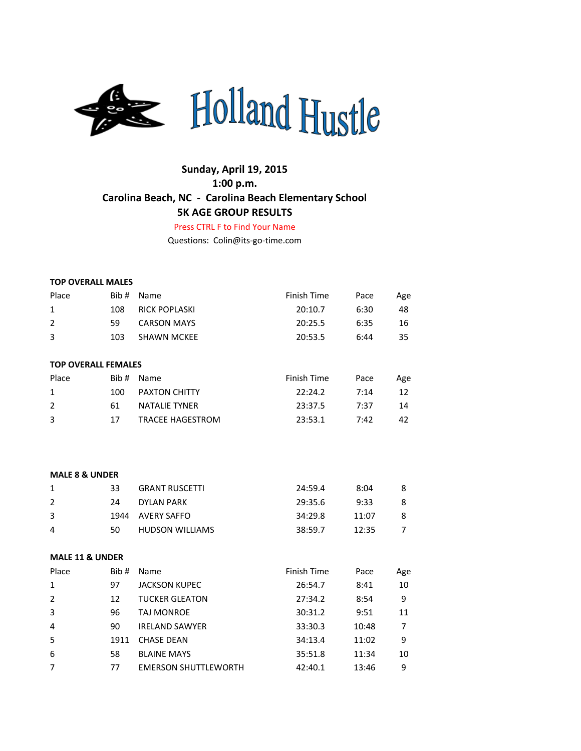

# **Sunday, April 19, 2015 1:00 p.m. Carolina Beach, NC - Carolina Beach Elementary School 5K AGE GROUP RESULTS**

Press CTRL F to Find Your Name

Questions: Colin@its-go-time.com

|  | <b>TOP OVERALL MALES</b> |  |
|--|--------------------------|--|
|--|--------------------------|--|

| Place                      | Bib# | Name                    | Finish Time | Pace | Age |
|----------------------------|------|-------------------------|-------------|------|-----|
| $\mathbf{1}$               | 108  | <b>RICK POPLASKI</b>    | 20:10.7     | 6:30 | 48  |
| $\overline{2}$             | 59   | <b>CARSON MAYS</b>      | 20:25.5     | 6:35 | 16  |
| 3                          | 103  | <b>SHAWN MCKEE</b>      | 20:53.5     | 6:44 | 35  |
|                            |      |                         |             |      |     |
| <b>TOP OVERALL FEMALES</b> |      |                         |             |      |     |
| Place                      | Bib# | Name                    | Finish Time | Pace | Age |
| 1                          | 100  | <b>PAXTON CHITTY</b>    | 22:24.2     | 7:14 | 12  |
| $\overline{2}$             | 61   | <b>NATALIE TYNER</b>    | 23:37.5     | 7:37 | 14  |
| 3                          | 17   | <b>TRACEE HAGESTROM</b> | 23:53.1     | 7:42 | 42  |
|                            |      |                         |             |      |     |
|                            |      |                         |             |      |     |
|                            |      |                         |             |      |     |
| <b>MALE 8 &amp; UNDER</b>  |      |                         |             |      |     |
| $\mathbf{1}$               | 33   | <b>GRANT RUSCETTI</b>   | 24:59.4     | 8:04 | 8   |
| $\mathcal{P}$              | 24   | DYI AN PARK             | 29.356      | ०.३३ | 8   |

|   | 24 | DYLAN PARK             | 29:35.6 | 9:33  | 8 |
|---|----|------------------------|---------|-------|---|
|   |    | 1944 AVERY SAFFO       | 34:29.8 | 11:07 | 8 |
| 4 | 50 | <b>HUDSON WILLIAMS</b> | 38:59.7 | 12:35 |   |

#### **MALE 11 & UNDER**

| Place          | Bib# | Name                        | Finish Time | Pace  | Age |
|----------------|------|-----------------------------|-------------|-------|-----|
| $\mathbf{1}$   | 97   | <b>JACKSON KUPEC</b>        | 26:54.7     | 8:41  | 10  |
| 2              | 12   | <b>TUCKER GLEATON</b>       | 27:34.2     | 8:54  | 9   |
| 3              | 96   | TAJ MONROE                  | 30:31.2     | 9:51  | 11  |
| $\overline{4}$ | 90   | <b>IRELAND SAWYER</b>       | 33:30.3     | 10:48 | 7   |
| 5              | 1911 | <b>CHASE DEAN</b>           | 34:13.4     | 11:02 | 9   |
| 6              | 58   | <b>BLAINE MAYS</b>          | 35:51.8     | 11:34 | 10  |
| $\overline{7}$ | 77   | <b>EMERSON SHUTTLEWORTH</b> | 42:40.1     | 13:46 | 9   |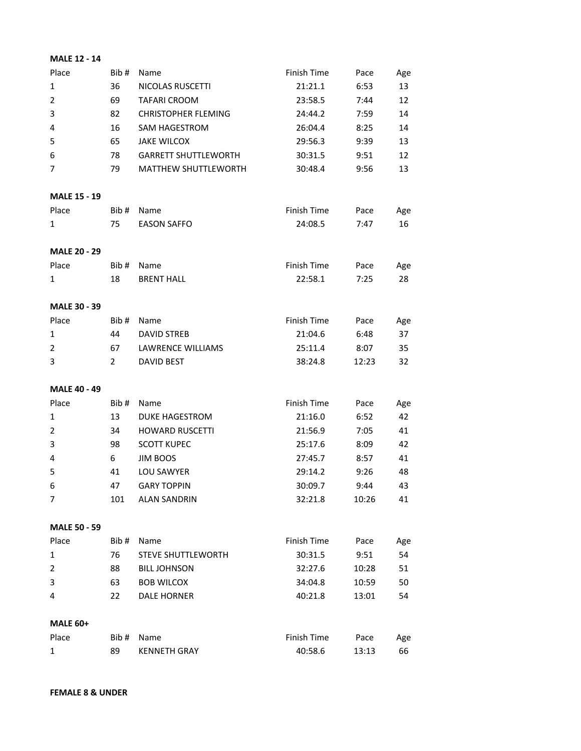| <b>MALE 12 - 14</b> |                |                             |             |       |     |
|---------------------|----------------|-----------------------------|-------------|-------|-----|
| Place               | Bib#           | Name                        | Finish Time | Pace  | Age |
| $\mathbf{1}$        | 36             | NICOLAS RUSCETTI            | 21:21.1     | 6:53  | 13  |
| $\overline{2}$      | 69             | <b>TAFARI CROOM</b>         | 23:58.5     | 7:44  | 12  |
| 3                   | 82             | <b>CHRISTOPHER FLEMING</b>  | 24:44.2     | 7:59  | 14  |
| 4                   | 16             | <b>SAM HAGESTROM</b>        | 26:04.4     | 8:25  | 14  |
| 5                   | 65             | <b>JAKE WILCOX</b>          | 29:56.3     | 9:39  | 13  |
| 6                   | 78             | <b>GARRETT SHUTTLEWORTH</b> | 30:31.5     | 9:51  | 12  |
| 7                   | 79             | <b>MATTHEW SHUTTLEWORTH</b> | 30:48.4     | 9:56  | 13  |
| <b>MALE 15 - 19</b> |                |                             |             |       |     |
| Place               | Bib#           | Name                        | Finish Time | Pace  | Age |
| 1                   | 75             | <b>EASON SAFFO</b>          | 24:08.5     | 7:47  | 16  |
| <b>MALE 20 - 29</b> |                |                             |             |       |     |
| Place               | Bib#           | Name                        | Finish Time | Pace  | Age |
| 1                   | 18             | <b>BRENT HALL</b>           | 22:58.1     | 7:25  | 28  |
| <b>MALE 30 - 39</b> |                |                             |             |       |     |
| Place               | Bib#           | Name                        | Finish Time | Pace  | Age |
| 1                   | 44             | <b>DAVID STREB</b>          | 21:04.6     | 6:48  | 37  |
| $\overline{2}$      | 67             | LAWRENCE WILLIAMS           | 25:11.4     | 8:07  | 35  |
| 3                   | $\overline{2}$ | <b>DAVID BEST</b>           | 38:24.8     | 12:23 | 32  |
| <b>MALE 40 - 49</b> |                |                             |             |       |     |
| Place               | Bib#           | Name                        | Finish Time | Pace  | Age |
| 1                   | 13             | <b>DUKE HAGESTROM</b>       | 21:16.0     | 6:52  | 42  |
| 2                   | 34             | <b>HOWARD RUSCETTI</b>      | 21:56.9     | 7:05  | 41  |
| 3                   | 98             | <b>SCOTT KUPEC</b>          | 25:17.6     | 8:09  | 42  |
| 4                   | 6              | <b>JIM BOOS</b>             | 27:45.7     | 8:57  | 41  |
| 5                   | 41             | LOU SAWYER                  | 29:14.2     | 9:26  | 48  |
| 6                   | 47             | <b>GARY TOPPIN</b>          | 30:09.7     | 9:44  | 43  |
| $\overline{7}$      | 101            | <b>ALAN SANDRIN</b>         | 32:21.8     | 10:26 | 41  |
| <b>MALE 50 - 59</b> |                |                             |             |       |     |
| Place               | Bib#           | Name                        | Finish Time | Pace  | Age |
| $\mathbf{1}$        | 76             | STEVE SHUTTLEWORTH          | 30:31.5     | 9:51  | 54  |
| $\overline{2}$      | 88             | <b>BILL JOHNSON</b>         | 32:27.6     | 10:28 | 51  |
| 3                   | 63             | <b>BOB WILCOX</b>           | 34:04.8     | 10:59 | 50  |
| 4                   | 22             | <b>DALE HORNER</b>          | 40:21.8     | 13:01 | 54  |
| <b>MALE 60+</b>     |                |                             |             |       |     |
| Place               | Bib#           | Name                        | Finish Time | Pace  | Age |
| $\mathbf{1}$        | 89             | <b>KENNETH GRAY</b>         | 40:58.6     | 13:13 | 66  |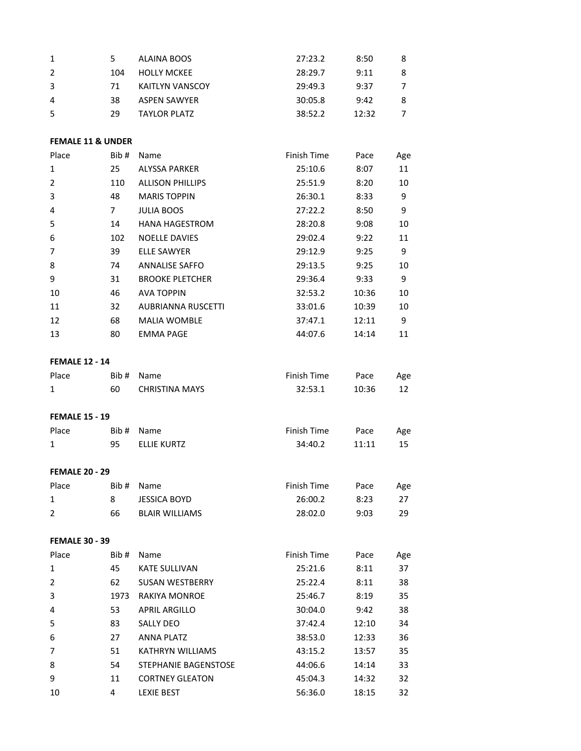| 1 |     | ALAINA BOOS         | 27:23.2 | 8:50  | 8 |
|---|-----|---------------------|---------|-------|---|
| 2 | 104 | <b>HOLLY MCKEE</b>  | 28:29.7 | 9:11  | 8 |
| 3 | 71  | KAITLYN VANSCOY     | 29:49.3 | 9:37  |   |
| 4 | 38  | <b>ASPEN SAWYER</b> | 30:05.8 | 9:42  | 8 |
| 5 | 29  | <b>TAYLOR PLATZ</b> | 38:52.2 | 12:32 |   |
|   |     |                     |         |       |   |

# **FEMALE 11 & UNDER**

| Place          | Bib# | Name                      | Finish Time | Pace  | Age |
|----------------|------|---------------------------|-------------|-------|-----|
| $\mathbf{1}$   | 25   | ALYSSA PARKER             | 25:10.6     | 8:07  | 11  |
| $\overline{2}$ | 110  | <b>ALLISON PHILLIPS</b>   | 25:51.9     | 8:20  | 10  |
| 3              | 48   | <b>MARIS TOPPIN</b>       | 26:30.1     | 8:33  | 9   |
| 4              | 7    | <b>JULIA BOOS</b>         | 27:22.2     | 8:50  | 9   |
| 5              | 14   | <b>HANA HAGESTROM</b>     | 28:20.8     | 9:08  | 10  |
| 6              | 102  | <b>NOELLE DAVIES</b>      | 29:02.4     | 9:22  | 11  |
| $\overline{7}$ | 39   | ELLE SAWYER               | 29:12.9     | 9:25  | 9   |
| 8              | 74   | <b>ANNALISE SAFFO</b>     | 29:13.5     | 9:25  | 10  |
| 9              | 31   | <b>BROOKE PLETCHER</b>    | 29:36.4     | 9:33  | 9   |
| 10             | 46   | <b>AVA TOPPIN</b>         | 32:53.2     | 10:36 | 10  |
| 11             | 32   | <b>AUBRIANNA RUSCETTI</b> | 33:01.6     | 10:39 | 10  |
| 12             | 68   | <b>MALIA WOMBLE</b>       | 37:47.1     | 12:11 | 9   |
| 13             | 80   | <b>EMMA PAGE</b>          | 44:07.6     | 14:14 | 11  |

# **FEMALE 12 - 14**

| Place |    | Bib # Name     | Finish Time | Pace  | Age |
|-------|----|----------------|-------------|-------|-----|
|       | 60 | CHRISTINA MAYS | 32:53.1     | 10:36 |     |

#### **FEMALE 15 - 19**

| Place |    | Bib # Name  | Finish Time | Pace  | Age |
|-------|----|-------------|-------------|-------|-----|
| 1     | 95 | ELLIE KURTZ | 34:40.2     | 11:11 | 15  |
|       |    |             |             |       |     |

# **FEMALE 20 - 29**

| Place |    | Bib # Name     | Finish Time | Pace | Age |
|-------|----|----------------|-------------|------|-----|
|       |    | JESSICA BOYD   | 26:00.2     | 8:23 | -27 |
|       | 66 | BLAIR WILLIAMS | 28:02.0     | 9:03 | 29  |

# **FEMALE 30 - 39**

| Place          | Bib# | Name                   | Finish Time | Pace  | Age |
|----------------|------|------------------------|-------------|-------|-----|
| 1              | 45   | <b>KATE SULLIVAN</b>   | 25:21.6     | 8:11  | 37  |
| 2              | 62   | <b>SUSAN WESTBERRY</b> | 25:22.4     | 8:11  | 38  |
| 3              | 1973 | RAKIYA MONROE          | 25:46.7     | 8:19  | 35  |
| $\overline{4}$ | 53   | <b>APRIL ARGILLO</b>   | 30:04.0     | 9:42  | 38  |
| 5              | 83   | <b>SALLY DEO</b>       | 37:42.4     | 12:10 | 34  |
| 6              | 27   | <b>ANNA PLATZ</b>      | 38:53.0     | 12:33 | 36  |
| $\overline{7}$ | 51   | KATHRYN WILLIAMS       | 43:15.2     | 13:57 | 35  |
| 8              | 54   | STEPHANIE BAGENSTOSE   | 44:06.6     | 14:14 | 33  |
| 9              | 11   | <b>CORTNEY GLEATON</b> | 45:04.3     | 14:32 | 32  |
| 10             | 4    | <b>LEXIE BEST</b>      | 56:36.0     | 18:15 | 32  |